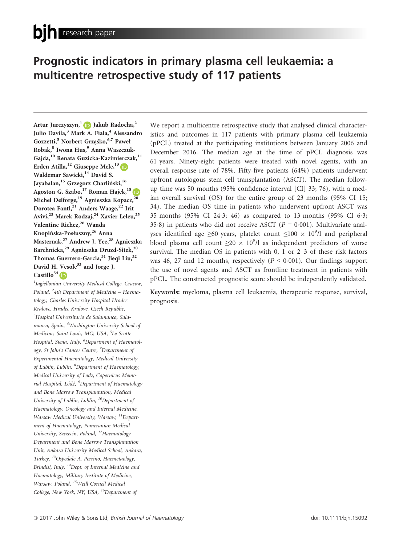# Prognostic indicators in primary plasma cell leukaemia: a multicentre retrospective study of 117 patients

Artur Jurczyszyn,<sup>1</sup> D Jakub Radocha,<sup>2</sup> Julio Davila,<sup>3</sup> Mark A. Fiala,<sup>4</sup> Alessandro Gozzetti,<sup>5</sup> Norbert Grzaśko,<sup>6,7</sup> Paweł Robak,<sup>8</sup> Iwona Hus,<sup>9</sup> Anna Waszczuk-Gajda,<sup>10</sup> Renata Guzicka-Kazimierczak,<sup>11</sup> Erden Atilla,<sup>12</sup> Giuseppe Mele,<sup>13</sup> D Waldemar Sawicki,<sup>14</sup> David S. Jayabalan,<sup>15</sup> Grzegorz Charliński,<sup>16</sup> Agoston G. Szabo,  $17$  Roman Hajek,  $18$  $18$ Michel Delforge,<sup>19</sup> Agnieszka Kopacz,<sup>20</sup> Dorotea Fantl,<sup>21</sup> Anders Waage,<sup>22</sup> Irit Avivi,<sup>23</sup> Marek Rodzaj,<sup>24</sup> Xavier Leleu,<sup>25</sup> Valentine Richez,<sup>26</sup> Wanda Knopińska-Posłuszny,<sup>26</sup> Anna Masternak,<sup>27</sup> Andrew J. Yee,<sup>28</sup> Agnieszka Barchnicka,<sup>29</sup> Agnieszka Druzd-Sitek,<sup>30</sup> Thomas Guerrero-Garcia,<sup>31</sup> Jieqi Liu,<sup>32</sup> David H. Vesole<sup>33</sup> and Jorge J. Castillo $34$  ( $\overline{D}$ )

<sup>1</sup>Jagiellonian University Medical College, Cracow, Poland, <sup>2</sup>4th Department of Medicine – Haematology, Charles University Hospital Hradec Kralove, Hradec Kralove, Czech Republic, <sup>3</sup>Hospital Universitario de Salamanca, Salamanca, Spain, <sup>4</sup>Washington University School of Medicine, Saint Louis, MO, USA, <sup>5</sup>Le Scotte Hospital, Siena, Italy, <sup>6</sup>Department of Haematology, St John's Cancer Centre, <sup>7</sup>Department of Experimental Haematology, Medical University of Lublin, Lublin, <sup>8</sup>Department of Haematology, Medical University of Lodz, Copernicus Memorial Hospital, Łódź, <sup>9</sup>Department of Haematology and Bone Marrow Transplantation, Medical University of Lublin, Lublin, <sup>10</sup>Department of Haematology, Oncology and Internal Medicine, Warsaw Medical University, Warsaw, <sup>11</sup>Department of Haematology, Pomeranian Medical University, Szczecin, Poland, <sup>12</sup>Haematology Department and Bone Marrow Transplantation Unit, Ankara University Medical School, Ankara, Turkey, 13Ospedale A. Perrino, Haemetaology, Brindisi, Italy, <sup>14</sup>Dept. of Internal Medicine and Haematology, Military Institute of Medicine, Warsaw, Poland, 15Weill Cornell Medical College, New York, NY, USA, <sup>16</sup>Department of

We report a multicentre retrospective study that analysed clinical characteristics and outcomes in 117 patients with primary plasma cell leukaemia (pPCL) treated at the participating institutions between January 2006 and December 2016. The median age at the time of pPCL diagnosis was 61 years. Ninety-eight patients were treated with novel agents, with an overall response rate of 78%. Fifty-five patients (64%) patients underwent upfront autologous stem cell transplantation (ASCT). The median followup time was 50 months (95% confidence interval [CI] 33; 76), with a median overall survival (OS) for the entire group of 23 months (95% CI 15; 34). The median OS time in patients who underwent upfront ASCT was 35 months (95% CI 243; 46) as compared to 13 months (95% CI 63; 35.8) in patients who did not receive ASCT ( $P = 0.001$ ). Multivariate analyses identified age  $\geq 60$  years, platelet count  $\leq 100 \times 10^9$ /l and peripheral blood plasma cell count  $\geq 20 \times 10^9$ /l as independent predictors of worse survival. The median OS in patients with 0, 1 or 2–3 of these risk factors was 46, 27 and 12 months, respectively  $(P < 0.001)$ . Our findings support the use of novel agents and ASCT as frontline treatment in patients with pPCL. The constructed prognostic score should be independently validated.

Keywords: myeloma, plasma cell leukaemia, therapeutic response, survival, prognosis.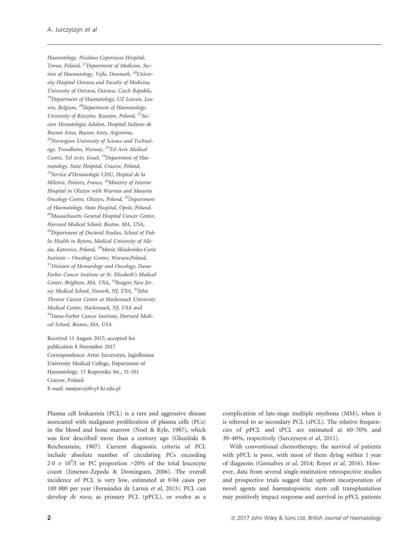Haematology, Nicolaus Copernicus Hospital, Torun, Poland, 17Department of Medicine, Section of Haematology, Vejle, Denmark, <sup>18</sup>University Hospital Ostrava and Faculty of Medicine, University of Ostrava, Ostrava, Czech Republic, 19Department of Haematology, UZ Leuven, Leuven, Belgium, 20Department of Haematology, University of Rzeszów, Rzeszów, Poland, <sup>21</sup>Seccion Hematologia Adultos, Hospital Italiano de Buenos Aires, Buenos Aires, Argentina, 22Norwegian University of Science and Technology, Trondheim, Norway, 23Tel Aviv Medical Centre, Tel Aviv, Israel, <sup>24</sup>Department of Haematology, State Hospital, Cracow, Poland, <sup>25</sup>Service d'Hematologie CHU, Hopital de la Miletrie, Poitiers, France, 26Ministry of Interior Hospital in Olsztyn with Warmia and Masuria Oncology Centre, Olsztyn, Poland, 27Department of Haematology, State Hospital, Opole, Poland, <sup>28</sup>Massachusetts General Hospital Cancer Center, Harvard Medical School, Boston, MA, USA, <sup>29</sup>Department of Doctoral Studies, School of Public Health in Bytom, Medical University of Silesia, Katowice, Poland, <sup>30</sup>Maria Sklodowska-Curie Institute – Oncology Centre, Warsaw,Poland, <sup>31</sup>Division of Hematology and Oncology, Dana-Farber Cancer Institute at St. Elizabeth's Medical Center, Brighton, MA, USA, <sup>32</sup>Rutgers New Jersey Medical School, Newark, NJ, USA, <sup>33</sup>John Theurer Cancer Center at Hackensack University Medical Center, Hackensack, NJ, USA and 34Dana-Farber Cancer Institute, Harvard Medical School, Boston, MA, USA

Received 13 August 2017; accepted for publication 8 November 2017 Correspondence: Artur Jurczyszyn, Jagiellonian University Medical College, Department of Haematology, 17 Kopernika Str., 31-501 Cracow, Poland. E-mail: mmjurczy@cyf-kr.edu.pl

Plasma cell leukaemia (PCL) is a rare and aggressive disease associated with malignant proliferation of plasma cells (PCs) in the blood and bone marrow (Noel & Kyle, 1987), which was first described more than a century ago (Gluzinski & Reichenstein, 1907). Current diagnostic criteria of PCL include absolute number of circulating PCs exceeding  $2.0 \times 10^9$ /l or PC proportion >20% of the total leucocyte count (Jimenez-Zepeda & Dominguez, 2006). The overall incidence of PCL is very low, estimated at 0.04 cases per 100 000 per year (Fernández de Larrea et al, 2013). PCL can develop de novo, as primary PCL (pPCL), or evolve as a

complication of late-stage multiple myeloma (MM), when it is referred to as secondary PCL (sPCL). The relative frequencies of pPCL and sPCL are estimated at 60–70% and 30–40%, respectively (Jurczyszyn et al, 2011).

With conventional chemotherapy, the survival of patients with pPCL is poor, with most of them dying within 1 year of diagnosis (Gonsalves et al, 2014; Royer et al, 2016). However, data from several single-institution retrospective studies and prospective trials suggest that upfront incorporation of novel agents and haematopoietic stem cell transplantation may positively impact response and survival in pPCL patients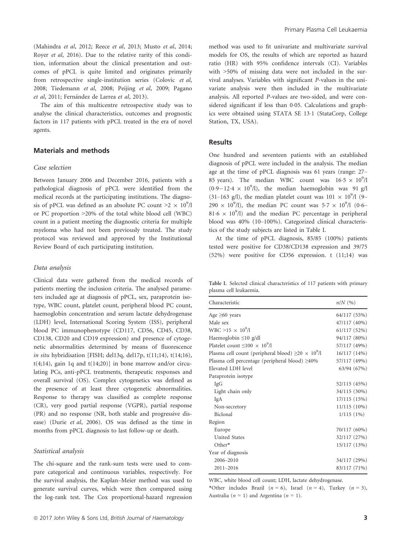(Mahindra et al, 2012; Reece et al, 2013; Musto et al, 2014; Royer et al, 2016). Due to the relative rarity of this condition, information about the clinical presentation and outcomes of pPCL is quite limited and originates primarily from retrospective single-institution series (Colovic et al, 2008; Tiedemann et al, 2008; Peijing et al, 2009; Pagano et al, 2011; Fernández de Larrea et al, 2013).

The aim of this multicentre retrospective study was to analyse the clinical characteristics, outcomes and prognostic factors in 117 patients with pPCL treated in the era of novel agents.

## Materials and methods

#### Case selection

Between January 2006 and December 2016, patients with a pathological diagnosis of pPCL were identified from the medical records at the participating institutions. The diagnosis of pPCL was defined as an absolute PC count  $\geq 2 \times 10^9$ /l or PC proportion >20% of the total white blood cell (WBC) count in a patient meeting the diagnostic criteria for multiple myeloma who had not been previously treated. The study protocol was reviewed and approved by the Institutional Review Board of each participating institution.

#### Data analysis

Clinical data were gathered from the medical records of patients meeting the inclusion criteria. The analysed parameters included age at diagnosis of pPCL, sex, paraprotein isotype, WBC count, platelet count, peripheral blood PC count, haemoglobin concentration and serum lactate dehydrogenase (LDH) level, International Scoring System (ISS), peripheral blood PC immunophenotype (CD117, CD56, CD45, CD38, CD138, CD20 and CD19 expression) and presence of cytogenetic abnormalities determined by means of fluorescence in situ hybridisation [FISH; del13q, del17p, t(11;14), t(14;16),  $t(4;14)$ , gain 1q and  $t(14;20)$ ] in bone marrow and/or circulating PCs, anti-pPCL treatments, therapeutic responses and overall survival (OS). Complex cytogenetics was defined as the presence of at least three cytogenetic abnormalities. Response to therapy was classified as complete response (CR), very good partial response (VGPR), partial response (PR) and no response (NR, both stable and progressive disease) (Durie et al, 2006). OS was defined as the time in months from pPCL diagnosis to last follow-up or death.

#### Statistical analysis

The chi-square and the rank-sum tests were used to compare categorical and continuous variables, respectively. For the survival analysis, the Kaplan–Meier method was used to generate survival curves, which were then compared using the log-rank test. The Cox proportional-hazard regression method was used to fit univariate and multivariate survival models for OS, the results of which are reported as hazard ratio (HR) with 95% confidence intervals (CI). Variables with >50% of missing data were not included in the survival analyses. Variables with significant P-values in the univariate analysis were then included in the multivariate analysis. All reported P-values are two-sided, and were considered significant if less than 0.05. Calculations and graphics were obtained using STATA SE 131 (StataCorp, College Station, TX, USA).

## Results

One hundred and seventeen patients with an established diagnosis of pPCL were included in the analysis. The median age at the time of pPCL diagnosis was 61 years (range: 27– 85 years). The median WBC count was  $16.5 \times 10^9$ /l  $(0.9-12.4 \times 10^9)$ , the median haemoglobin was 91 g/l (31-163 g/l), the median platelet count was  $101 \times 10^9$ /l (9- $290 \times 10^9$ /l), the median PC count was  $5.7 \times 10^9$ /l (0.6– 81.6  $\times$  10<sup>9</sup>/l) and the median PC percentage in peripheral blood was 40% (10–100%). Categorized clinical characteristics of the study subjects are listed in Table I.

At the time of pPCL diagnosis, 85/85 (100%) patients tested were positive for CD38/CD138 expression and 39/75 (52%) were positive for CD56 expression. t (11;14) was

Table I. Selected clinical characteristics of 117 patients with primary plasma cell leukaemia.

| Characteristic                                                | $n/N$ (%)    |
|---------------------------------------------------------------|--------------|
| Age $\geq 60$ years                                           | 64/117 (55%) |
| Male sex                                                      | 47/117 (40%) |
| $WBC > 15 \times 10^9/l$                                      | 61/117 (52%) |
| Haemoglobin $\leq 10$ g/dl                                    | 94/117 (80%) |
| Platelet count $\leq 100 \times 10^9/l$                       | 57/117 (49%) |
| Plasma cell count (peripheral blood) $\geq 20 \times 10^9$ /l | 16/117 (14%) |
| Plasma cell percentage (peripheral blood) $\geq 40\%$         | 57/117 (49%) |
| Elevated LDH level                                            | 63/94 (67%)  |
| Paraprotein isotype                                           |              |
| IgG                                                           | 52/115 (45%) |
| Light chain only                                              | 34/115 (30%) |
| IgA                                                           | 17/115 (15%) |
| Non-secretory                                                 | 11/115 (10%) |
| Biclonal                                                      | $1/115(1\%)$ |
| Region                                                        |              |
| Europe                                                        | 70/117 (60%) |
| <b>United States</b>                                          | 32/117 (27%) |
| Other*                                                        | 15/117 (13%) |
| Year of diagnosis                                             |              |
| 2006-2010                                                     | 34/117 (29%) |
| $2011 - 2016$                                                 | 83/117 (71%) |

WBC, white blood cell count; LDH, lactate dehydrogenase.

\*Other includes Brazil ( $n = 6$ ), Israel ( $n = 4$ ), Turkey ( $n = 3$ ), Australia ( $n = 1$ ) and Argentina ( $n = 1$ ).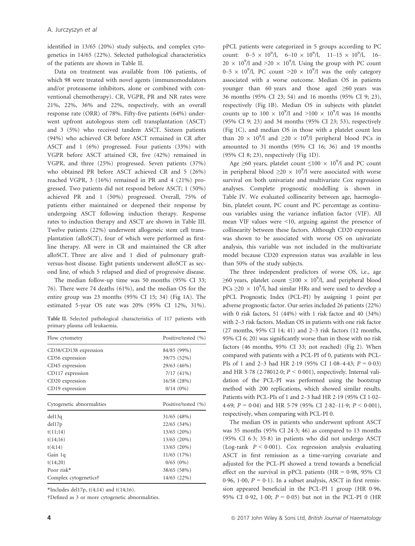identified in 13/65 (20%) study subjects, and complex cytogenetics in 14/65 (22%). Selected pathological characteristics of the patients are shown in Table II.

Data on treatment was available from 106 patients, of which 98 were treated with novel agents (immunomodulators and/or proteasome inhibitors, alone or combined with conventional chemotherapy). CR, VGPR, PR and NR rates were 21%, 22%, 36% and 22%, respectively, with an overall response rate (ORR) of 78%. Fifty-five patients (64%) underwent upfront autologous stem cell transplantation (ASCT) and 3 (5%) who received tandem ASCT. Sixteen patients (94%) who achieved CR before ASCT remained in CR after ASCT and 1 (6%) progressed. Four patients (33%) with VGPR before ASCT attained CR, five (42%) remained in VGPR, and three (25%) progressed. Seven patients (37%) who obtained PR before ASCT achieved CR and 5 (26%) reached VGPR, 3 (16%) remained in PR and 4 (21%) progressed. Two patients did not respond before ASCT; 1 (50%) achieved PR and 1 (50%) progressed. Overall, 75% of patients either maintained or deepened their response by undergoing ASCT following induction therapy. Response rates to induction therapy and ASCT are shown in Table III. Twelve patients (22%) underwent allogeneic stem cell transplantation (alloSCT), four of which were performed as firstline therapy. All were in CR and maintained the CR after alloSCT. Three are alive and 1 died of pulmonary graftversus-host disease. Eight patients underwent alloSCT as second line, of which 5 relapsed and died of progressive disease.

The median follow-up time was 50 months (95% CI 33; 76). There were 74 deaths (61%), and the median OS for the entire group was 23 months (95% CI 15; 34) (Fig 1A). The estimated 5-year OS rate was 20% (95% CI 12%, 31%).

Table II. Selected pathological characteristics of 117 patients with primary plasma cell leukaemia.

| Flow cytometry            | Positive/tested (%) |
|---------------------------|---------------------|
| CD38/CD138 expression     | 84/85 (99%)         |
| CD56 expression           | 39/75 (52%)         |
| CD45 expression           | 29/63 (46%)         |
| CD117 expression          | 7/17(41%)           |
| CD20 expression           | 16/58 (28%)         |
| CD19 expression           | $0/14(0\%)$         |
| Cytogenetic abnormalities | Positive/tested (%) |
| del13q                    | $31/65$ (48%)       |
| del17p                    | $22/65$ (34%)       |
| t(11;14)                  | $13/65$ $(20\%)$    |
| t(14;16)                  | $13/65$ $(20\%)$    |
| t(4;14)                   | 13/65 (20%)         |
| Gain 1q                   | 11/65 (17%)         |
| t(14;20)                  | $0/65(0\%)$         |
| Poor risk*                | 38/65 (58%)         |
| Complex cytogenetics†     | 14/65 (22%)         |

\*Includes del17p,  $t(4;14)$  and  $t(14;16)$ .

†Defined as 3 or more cytogenetic abnormalities.

pPCL patients were categorized in 5 groups according to PC count:  $0-5 \times 10^9$ /l,  $6-10 \times 10^9$ /l,  $11-15 \times 10^9$ /l,  $16 20 \times 10^9$ /l and >20  $\times 10^9$ /l. Using the group with PC count 0–5  $\times$  10<sup>9</sup>/l, PC count >20  $\times$  10<sup>9</sup>/l was the only category associated with a worse outcome. Median OS in patients younger than 60 years and those aged  $\geq 60$  years was 36 months (95% CI 23; 54) and 16 months (95% CI 9; 23), respectively (Fig 1B). Median OS in subjects with platelet counts up to  $100 \times 10^9$ /l and  $>100 \times 10^9$ /l was 16 months (95% CI 9; 23) and 34 months (95% CI 23; 53), respectively (Fig 1C), and median OS in those with a platelet count less than  $20 \times 10^9$ /l and  $\geq 20 \times 10^9$ /l peripheral blood PCs in amounted to 31 months (95% CI 16; 36) and 19 months (95% CI 8; 23), respectively (Fig 1D).

Age  $\geq 60$  years, platelet count  $\leq 100 \times 10^9$ /l and PC count in peripheral blood  $\geq 20 \times 10^9$ /l were associated with worse survival on both univariate and multivariate Cox regression analyses. Complete prognostic modelling is shown in Table IV. We evaluated collinearity between age, haemoglobin, platelet count, PC count and PC percentage as continuous variables using the variance inflation factor (VIF). All mean VIF values were <10, arguing against the presence of collinearity between these factors. Although CD20 expression was shown to be associated with worse OS on univariate analysis, this variable was not included in the multivariate model because CD20 expression status was available in less than 50% of the study subjects.

The three independent predictors of worse OS, i.e., age ≥60 years, platelet count ≤100  $\times$  10<sup>9</sup>/l, and peripheral blood PCs  $\geq$ 20 × 10<sup>9</sup>/l, had similar HRs and were used to develop a pPCL Prognostic Index (PCL-PI) by assigning 1 point per adverse prognostic factor. Our series included 26 patients (22%) with 0 risk factors, 51 (44%) with 1 risk factor and 40 (34%) with 2–3 risk factors. Median OS in patients with one risk factor (27 months, 95% CI 14; 41) and 2–3 risk factors (12 months, 95% CI 6; 20) was significantly worse than in those with no risk factors (46 months, 95% CI 33; not reached) (Fig 2). When compared with patients with a PCL-PI of 0, patients with PCL-PIs of 1 and 2–3 had HR 2.19 (95% CI 1.08–4.43;  $P = 0.03$ ) and HR 5.78 (2.78012.0;  $P < 0.001$ ), respectively. Internal validation of the PCL-PI was performed using the bootstrap method with 200 replications, which showed similar results. Patients with PCL-PIs of 1 and 2-3 had HR 2.19 (95% CI 1.02-4.69;  $P = 0.04$ ) and HR 5.79 (95% CI 2.82–11.9;  $P < 0.001$ ), respectively, when comparing with PCL-PI 0.

The median OS in patients who underwent upfront ASCT was 35 months (95% CI 243; 46) as compared to 13 months (95% CI 63; 358) in patients who did not undergo ASCT (Log-rank  $P < 0.001$ ). Cox regression analysis evaluating ASCT in first remission as a time-varying covariate and adjusted for the PCL-PI showed a trend towards a beneficial effect on the survival in pPCL patients (HR =  $0.98$ ,  $95\%$  CI 0.96, 1.00,  $P = 0.1$ ). In a subset analysis, ASCT in first remission appeared beneficial in the PCL-PI 1 group (HR 0.96, 95% CI 0.92, 1.00;  $P = 0.05$ ) but not in the PCL-PI 0 (HR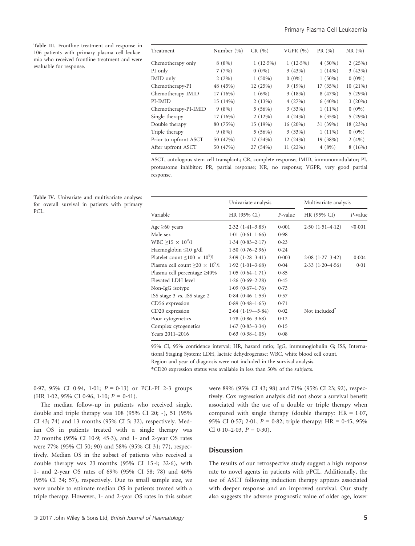Table III. Frontline treatment and response in 106 patients with primary plasma cell leukaemia who received frontline treatment and were evaluable for response.

| Treatment             | Number (%) | CR(%)       | VGPR $(%)$  | PR (%)    | NR(%)     |
|-----------------------|------------|-------------|-------------|-----------|-----------|
| Chemotherapy only     | $8(8\%)$   | $1(12.5\%)$ | $1(12.5\%)$ | $4(50\%)$ | 2(25%)    |
| PI only               | 7(7%)      | $0(0\%)$    | 3(43%)      | $1(14\%)$ | 3(43%)    |
| IMID only             | $2(2\%)$   | $1(50\%)$   | $0(0\%)$    | $1(50\%)$ | $0(0\%)$  |
| Chemotherapy-PI       | 48 (45%)   | 12 (25%)    | 9(19%)      | 17 (35%)  | 10(21%)   |
| Chemotherapy-IMID     | 17(16%)    | 1(6%)       | 3(18%)      | 8(47%)    | 5(29%)    |
| PI-IMID               | 15 (14%)   | 2(13%)      | 4(27%)      | $6(40\%)$ | $3(20\%)$ |
| Chemotherapy-PI-IMID  | 9(8%)      | 5(56%)      | 3(33%)      | $1(11\%)$ | $0(0\%)$  |
| Single therapy        | 17(16%)    | 2(12%)      | 4(24%)      | 6(35%)    | 5(29%)    |
| Double therapy        | 80 (75%)   | 15(19%)     | 16(20%)     | 31 (39%)  | 18 (23%)  |
| Triple therapy        | 9(8%)      | 5(56%)      | 3(33%)      | $1(11\%)$ | $0(0\%)$  |
| Prior to upfront ASCT | 50 (47%)   | 17 (34%)    | 12 (24%)    | 19 (38%)  | $2(4\%)$  |
| After upfront ASCT    | 50 (47%)   | 27 (54%)    | 11 (22%)    | 4(8%)     | 8(16%)    |
|                       |            |             |             |           |           |

ASCT, autologous stem cell transplant.; CR, complete response; IMID, immunomodulator; PI, proteasome inhibitor; PR, partial response; NR, no response; VGPR, very good partial response.

| Table IV. Univariate and multivariate analyses<br>for overall survival in patients with primary<br>PCL. | Univariate analysis                       |                        | Multivariate analysis |                           |         |
|---------------------------------------------------------------------------------------------------------|-------------------------------------------|------------------------|-----------------------|---------------------------|---------|
|                                                                                                         | Variable                                  | HR (95% CI)            | $P$ -value            | HR (95% CI)               | P-value |
|                                                                                                         | Age $\geq 60$ years                       | $2.32(1.41-3.83)$      | 0.001                 | $2.50(1.51-4.12)$         | < 0.001 |
|                                                                                                         | Male sex                                  | $1.01(0.61-1.66)$      | 0.98                  |                           |         |
|                                                                                                         | WBC $\geq$ 15 $\times$ 10 <sup>9</sup> /l | $1.34(0.83 - 2.17)$    | 0.23                  |                           |         |
|                                                                                                         | Haemoglobin $\leq 10$ g/dl                | $1.50(0.76-2.96)$      | 0.24                  |                           |         |
|                                                                                                         | Platelet count $\leq 100 \times 10^9/l$   | $2.09(1.28-3.41)$      | 0.003                 | $2.08(1.27-3.42)$         | 0.004   |
|                                                                                                         | Plasma cell count $>20 \times 10^{9}/l$   | $1.92(1.01-3.68)$      | 0.04                  | $2.33(1.20-4.56)$         | 0.01    |
|                                                                                                         | Plasma cell percentage $\geq 40\%$        | $1.05(0.64-1.71)$      | 0.85                  |                           |         |
|                                                                                                         | Elevated LDH level                        | $1.26(0.69-2.28)$      | 0.45                  |                           |         |
|                                                                                                         | Non-IgG isotype                           | $1.09(0.67-1.76)$      | 0.73                  |                           |         |
|                                                                                                         | ISS stage 3 vs. ISS stage 2               | $0.84(0.46-1.53)$      | 0.57                  |                           |         |
|                                                                                                         | CD56 expression                           | $0.89(0.48-1.65)$      | 0.71                  |                           |         |
|                                                                                                         | CD20 expression                           | $2.64$ $(1.19 - 5.84)$ | 0.02                  | Not included <sup>*</sup> |         |
|                                                                                                         | Poor cytogenetics                         | $1.78(0.86 - 3.68)$    | 0.12                  |                           |         |
|                                                                                                         | Complex cytogenetics                      | $1.67(0.83 - 3.34)$    | 0.15                  |                           |         |
|                                                                                                         | Years 2011-2016                           | $0.63(0.38-1.05)$      | 0.08                  |                           |         |
|                                                                                                         |                                           |                        |                       |                           |         |

95% CI, 95% confidence interval; HR, hazard ratio; IgG, immunoglobulin G; ISS, International Staging System; LDH, lactate dehydrogenase; WBC, white blood cell count. Region and year of diagnosis were not included in the survival analysis. \*CD20 expression status was available in less than 50% of the subjects.

0.97, 95% CI 0.94, 1.01;  $P = 0.13$  or PCL-PI 2-3 groups (HR 1.02, 95% CI 0.96, 1.10;  $P = 0.41$ ).

The median follow-up in patients who received single, double and triple therapy was 108 (95% CI 20; -), 51 (95% CI 43; 74) and 13 months (95% CI 5; 32), respectively. Median OS in patients treated with a single therapy was 27 months (95% CI 109; 453), and 1- and 2-year OS rates were 77% (95% CI 50; 90) and 58% (95% CI 31; 77), respectively. Median OS in the subset of patients who received a double therapy was 23 months (95% CI 154; 326), with 1- and 2-year OS rates of 69% (95% CI 58; 78) and 46% (95% CI 34; 57), respectively. Due to small sample size, we were unable to estimate median OS in patients treated with a triple therapy. However, 1- and 2-year OS rates in this subset were 89% (95% CI 43; 98) and 71% (95% CI 23; 92), respectively. Cox regression analysis did not show a survival benefit associated with the use of a double or triple therapy when compared with single therapy (double therapy:  $HR = 1.07$ , 95% CI 0.57; 2.01,  $P = 0.82$ ; triple therapy: HR = 0.45, 95% CI 0.10–2.03,  $P = 0.30$ ).

# **Discussion**

The results of our retrospective study suggest a high response rate to novel agents in patients with pPCL. Additionally, the use of ASCT following induction therapy appears associated with deeper response and an improved survival. Our study also suggests the adverse prognostic value of older age, lower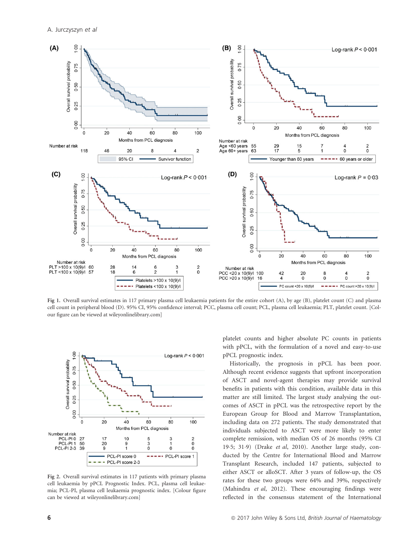

Fig 1. Overall survival estimates in 117 primary plasma cell leukaemia patients for the entire cohort (A), by age (B), platelet count (C) and plasma cell count in peripheral blood (D). 95% CI, 95% confidence interval; PCC, plasma cell count; PCL, plasma cell leukaemia; PLT, platelet count. [Colour figure can be viewed at wileyonlinelibrary.com]



Fig 2. Overall survival estimates in 117 patients with primary plasma cell leukaemia by pPCL Prognostic Index. PCL, plasma cell leukaemia; PCL-PI, plasma cell leukaemia prognostic index. [Colour figure can be viewed at wileyonlinelibrary.com]

platelet counts and higher absolute PC counts in patients with pPCL, with the formulation of a novel and easy-to-use pPCL prognostic index.

Historically, the prognosis in pPCL has been poor. Although recent evidence suggests that upfront incorporation of ASCT and novel-agent therapies may provide survival benefits in patients with this condition, available data in this matter are still limited. The largest study analysing the outcomes of ASCT in pPCL was the retrospective report by the European Group for Blood and Marrow Transplantation, including data on 272 patients. The study demonstrated that individuals subjected to ASCT were more likely to enter complete remission, with median OS of 26 months (95% CI 195; 319) (Drake et al, 2010). Another large study, conducted by the Centre for International Blood and Marrow Transplant Research, included 147 patients, subjected to either ASCT or alloSCT. After 3 years of follow-up, the OS rates for these two groups were 64% and 39%, respectively (Mahindra et al, 2012). These encouraging findings were reflected in the consensus statement of the International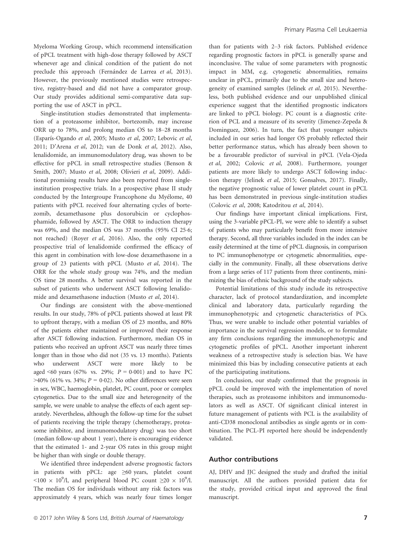Myeloma Working Group, which recommend intensification of pPCL treatment with high-dose therapy followed by ASCT whenever age and clinical condition of the patient do not preclude this approach (Fernández de Larrea et al, 2013). However, the previously mentioned studies were retrospective, registry-based and did not have a comparator group. Our study provides additional semi-comparative data supporting the use of ASCT in pPCL.

Single-institution studies demonstrated that implementation of a proteasome inhibitor, bortezomib, may increase ORR up to 78%, and prolong median OS to 18–28 months (Esparís-Ogando et al, 2005; Musto et al, 2007; Lebovic et al, 2011; D'Arena et al, 2012; van de Donk et al, 2012). Also, lenalidomide, an immunomodulatory drug, was shown to be effective for pPCL in small retrospective studies (Benson & Smith, 2007; Musto et al, 2008; Olivieri et al, 2009). Additional promising results have also been reported from singleinstitution prospective trials. In a prospective phase II study conducted by the Intergroupe Francophone du Myelome, 40 patients with pPCL received four alternating cycles of bortezomib, dexamethasone plus doxorubicin or cyclophosphamide, followed by ASCT. The ORR to induction therapy was 69%, and the median OS was 37 months (95% CI 25.6; not reached) (Royer et al, 2016). Also, the only reported prospective trial of lenalidomide confirmed the efficacy of this agent in combination with low-dose dexamethasone in a group of 23 patients with pPCL (Musto et al, 2014). The ORR for the whole study group was 74%, and the median OS time 28 months. A better survival was reported in the subset of patients who underwent ASCT following lenalidomide and dexamethasone induction (Musto et al, 2014).

Our findings are consistent with the above-mentioned results. In our study, 78% of pPCL patients showed at least PR to upfront therapy, with a median OS of 23 months, and 80% of the patients either maintained or improved their response after ASCT following induction. Furthermore, median OS in patients who received an upfront ASCT was nearly three times longer than in those who did not (35 vs. 13 months). Patients who underwent ASCT were more likely to be aged <60 years (67% vs. 29%;  $P = 0.001$ ) and to have PC  $>40\%$  (61% vs. 34%;  $P = 0.02$ ). No other differences were seen in sex, WBC, haemoglobin, platelet, PC count, poor or complex cytogenetics. Due to the small size and heterogeneity of the sample, we were unable to analyse the effects of each agent separately. Nevertheless, although the follow-up time for the subset of patients receiving the triple therapy (chemotherapy, proteasome inhibitor, and immunomodulatory drug) was too short (median follow-up about 1 year), there is encouraging evidence that the estimated 1- and 2-year OS rates in this group might be higher than with single or double therapy.

We identified three independent adverse prognostic factors in patients with pPCL: age ≥60 years, platelet count <100 × 10<sup>9</sup>/l, and peripheral blood PC count ≥20 × 10<sup>9</sup>/l. The median OS for individuals without any risk factors was approximately 4 years, which was nearly four times longer than for patients with 2–3 risk factors. Published evidence regarding prognostic factors in pPCL is generally sparse and inconclusive. The value of some parameters with prognostic impact in MM, e.g. cytogenetic abnormalities, remains unclear in pPCL, primarily due to the small size and heterogeneity of examined samples (Jelinek et al, 2015). Nevertheless, both published evidence and our unpublished clinical experience suggest that the identified prognostic indicators are linked to pPCL biology. PC count is a diagnostic criterion of PCL and a measure of its severity (Jimenez-Zepeda & Dominguez, 2006). In turn, the fact that younger subjects included in our series had longer OS probably reflected their better performance status, which has already been shown to be a favourable predictor of survival in pPCL (Vela-Ojeda et al, 2002; Colovic et al, 2008). Furthermore, younger patients are more likely to undergo ASCT following induction therapy (Jelinek et al, 2015; Gonsalves, 2017). Finally, the negative prognostic value of lower platelet count in pPCL has been demonstrated in previous single-institution studies (Colovic et al, 2008; Katodritou et al, 2014).

Our findings have important clinical implications. First, using the 3-variable pPCL-PI, we were able to identify a subset of patients who may particularly benefit from more intensive therapy. Second, all three variables included in the index can be easily determined at the time of pPCL diagnosis, in comparison to PC immunophenotype or cytogenetic abnormalities, especially in the community. Finally, all these observations derive from a large series of 117 patients from three continents, minimizing the bias of ethnic background of the study subjects.

Potential limitations of this study include its retrospective character, lack of protocol standardization, and incomplete clinical and laboratory data, particularly regarding the immunophenotypic and cytogenetic characteristics of PCs. Thus, we were unable to include other potential variables of importance in the survival regression models, or to formulate any firm conclusions regarding the immunophenotypic and cytogenetic profiles of pPCL. Another important inherent weakness of a retrospective study is selection bias. We have minimized this bias by including consecutive patients at each of the participating institutions.

In conclusion, our study confirmed that the prognosis in pPCL could be improved with the implementation of novel therapies, such as proteasome inhibitors and immunomodulators as well as ASCT. Of significant clinical interest in future management of patients with PCL is the availability of anti-CD38 monoclonal antibodies as single agents or in combination. The PCL-PI reported here should be independently validated.

### Author contributions

AJ, DHV and JJC designed the study and drafted the initial manuscript. All the authors provided patient data for the study, provided critical input and approved the final manuscript.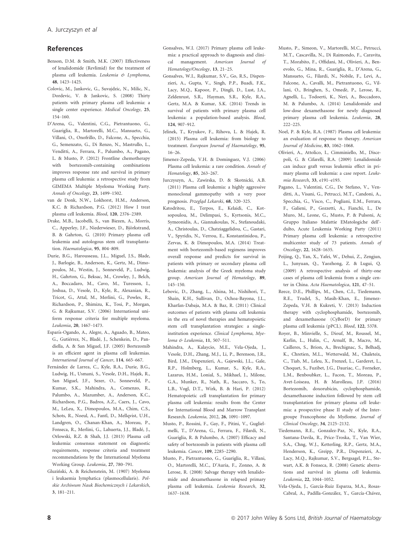#### References

- Benson, D.M. & Smith, M.K. (2007) Effectiveness of lenalidomide (Revlimid) for the treatment of plasma cell leukemia. Leukemia & Lymphoma, 48, 1423–1425.
- Colovic, M., Jankovic, G., Suvajdzic, N., Milic, N., Dordevic, V. & Jankovic, S. (2008) Thirty patients with primary plasma cell leukemia: a single center experience. Medical Oncology, 25, 154–160.
- D'Arena, G., Valentini, C.G., Pietrantuono, G., Guariglia, R., Martorelli, M.C., Mansueto, G., Villani, O., Onofrillo, D., Falcone, A., Specchia, G., Semenzato, G., Di Renzo, N., Mastrullo, L., Venditti, A., Ferrara, F., Palumbo, A., Pagano, L. & Musto, P. (2012) Frontline chemotherapy with bortezomib-containing combinations improves response rate and survival in primary plasma cell leukemia: a retrospective study from GIMEMA Multiple Myeloma Working Party. Annals of Oncology, 23, 1499–1502.
- van de Donk, N.W., Lokhorst, H.M., Anderson, K.C. & Richardson, P.G. (2012) How I treat plasma cell leukemia. Blood, 120, 2376–2389.
- Drake, M.B., Iacobelli, S., van Biezen, A., Morris, C., Apperley, J.F., Niederwieser, D., Björkstrand, B. & Gahrton, G. (2010) Primary plasma cell leukemia and autologous stem cell transplantation. Haematologica, 95, 804–809.
- Durie, B.G., Harousseau, J.L., Miguel, J.S., Blade, J., Barlogie, B., Anderson, K., Gertz, M., Dimopoulos, M., Westin, J., Sonneveld, P., Ludwig, H., Gahrton, G., Beksac, M., Crowley, J., Belch, A., Boccadaro, M., Cavo, M., Turesson, I., Joshua, D., Vesole, D., Kyle, R., Alexanian, R., Tricot, G., Attal, M., Merlini, G., Powles, R., Richardson, P., Shimizu, K., Tosi, P., Morgan, G. & Rajkumar, S.V. (2006) International uniform response criteria for multiple myeloma. Leukemia, 20, 1467–1473.
- Esparís-Ogando, A., Alegre, A., Aguado, B., Mateo, G., Gutiérrez, N., Bladé, J., Schenkein, D., Pandiella, A. & San Miguel, J.F. (2005) Bortezomib is an efficient agent in plasma cell leukemias. International Journal of Cancer, 114, 665–667.
- Fernández de Larrea, C., Kyle, R.A., Durie, B.G., Ludwig, H., Usmani, S., Vesole, D.H., Hajek, R., San Miguel, J.F., Sezer, O., Sonneveld, P., Kumar, S.K., Mahindra, A., Comenzo, R., Palumbo, A., Mazumber, A., Anderson, K.C., Richardson, P.G., Badros, A.Z., Caers, J., Cavo, M., LeLeu, X., Dimopoulos, M.A., Chim, C.S., Schots, R., Noeul, A., Fantl, D., Mellqvist, U.H., Landgren, O., Chanan-Khan, A., Moreau, P., Fonseca, R., Merlini, G., Lahuerta, J.J., Blade, J., Orlowski, R.Z. & Shah, J.J. (2013) Plasma cell leukemia: consensus statement on diagnostic requirements, response criteria and treatment recommendations by the International Myeloma Working Group. Leukemia, 27, 780–791.
- Gluzinski, A. & Reichenstein, M. (1907) Myeloma i leukaemia lymphatica (plasmocellularis). Polskie Archiwum Nauk Biochemicznych i Lekarskich, 3, 181–211.
- Gonsalves, W.I. (2017) Primary plasma cell leukemia: a practical approach to diagnosis and clinical management. American Journal of Hematology/Oncology, 13, 21–25.
- Gonsalves, W.I., Rajkumar, S.V., Go, R.S., Dispenzieri, A., Gupta, V., Singh, P.P., Buadi, F.K., Lacy, M.Q., Kapoor, P., Dingli, D., Lust, J.A., Zeldenrust, S.R., Hayman, S.R., Kyle, R.A., Gertz, M.A. & Kumar, S.K. (2014) Trends in survival of patients with primary plasma cell leukemia: a population-based analysis. Blood, 124, 907–912.
- Jelinek, T., Kryukov, F., Rihova, L. & Hajek, R. (2015) Plasma cell leukemia: from biology to treatment. European Journal of Haematology, 95, 16–26.
- Jimenez-Zepeda, V.H. & Dominguez, V.J. (2006) Plasma cell leukemia: a rare condition. Annals of Hematology, 85, 263–267.
- Jurczyszyn, A., Zawirska, D. & Skotnicki, A.B. (2011) Plasma cell leukemia: a highly aggressive monoclonal gammopathy with a very poor prognosis. Przegląd Lekarski, 68, 320-325.
- Katodritou, E., Terpos, E., Kelaidi, C., Kotsopoulou, M., Delimpasi, S., Kyrtsonis, M.C., Symeonidis, A., Giannakoulas, N., Stefanoudaki, A., Christoulas, D., Chatziaggelidou, C., Gastari, V., Spyridis, N., Verrou, E., Konstantinidou, P., Zervas, K. & Dimopoulos, M.A. (2014) Treatment with bortezomib-based regimens improves overall response and predicts for survival in patients with primary or secondary plasma cell leukemia: analysis of the Greek myeloma study group. American Journal of Hematology, 89, 145–150.
- Lebovic, D., Zhang, L., Alsina, M., Nishihori, T., Shain, K.H., Sullivan, D., Ochoa-Bayona, J.L., Kharfan-Dabaja, M.A. & Baz, R. (2011) Clinical outcomes of patients with plasma cell leukemia in the era of novel therapies and hematopoietic stem cell transplantation strategies: a singleinstitution experience. Clinical Lymphoma, Myeloma & Leukemia, 11, 507–511.
- Mahindra, A., Kalaycio, M.E., Vela-Ojeda, J., Vesole, D.H., Zhang, M.J., Li, P., Berenson, J.R., Bird, J.M., Dispenzieri, A., Gajewski, J.L., Gale, R.P., Holmberg, L., Kumar, S., Kyle, R.A., Lazarus, H.M., Lonial, S., Mikhael, J., Milone, G.A., Munker, R., Nath, R., Saccaro, S., To, L.B., Vogl, D.T., Wirk, B. & Hari, P. (2012) Hematopoietic cell transplantation for primary plasma cell leukemia: results from the Center for International Blood and Marrow Transplant Research. Leukemia, 2012, 26, 1091–1097.
- Musto, P., Rossini, F., Gay, F., Pitini, V., Guglielmelli, T., D'Arena, G., Ferrara, F., Filardi, N., Guariglia, R. & Palumbo, A. (2007) Efficacy and safety of bortezomib in patients with plasma cell leukemia. Cancer, 109, 2285–2290.
- Musto, P., Pietrantuono, G., Guariglia, R., Villani, O., Martorelli, M.C., D'Auria, F., Zonno, A. & Lerose, R. (2008) Salvage therapy with lenalidomide and dexamethasone in relapsed primary plasma cell leukemia. Leukemia Research, 32, 1637–1638.
- Musto, P., Simeon, V., Martorelli, M.C., Petrucci, M.T., Cascavilla, N., Di Raimondo, F., Caravita, T., Morabito, F., Offidani, M., Olivieri, A., Benevolo, G., Mina, R., Guariglia, R., D'Arena, G., Mansueto, G., Filardi, N., Nobile, F., Levi, A., Falcone, A., Cavalli, M., Pietrantuono, G., Villani, O., Bringhen, S., Omede, P., Lerose, R., Agnelli, L., Todoerti, K., Neri, A., Boccadoro, M. & Palumbo, A. (2014) Lenalidomide and low-dose dexamethasone for newly diagnosed primary plasma cell leukemia. Leukemia, 28,  $222 - 225$
- Noel, P. & Kyle, R.A. (1987) Plasma cell leukemia: an evaluation of response to therapy. American Journal of Medicine, 83, 1062–1068.
- Olivieri, A., Attolico, I., Cimminiello, M., Discepoli, G. & Cifarelli, R.A. (2009) Lenalidomide can induce graft versus leukemia effect in primary plasma cell leukemia: a case report. Leukemia Research, 33, e191–e193.
- Pagano, L., Valentini, C.G., De Stefano, V., Venditti, A., Visani, G., Petrucci, M.T., Candoni, A., Specchia, G., Visco, C., Pogliani, E.M., Ferrara, F., Galieni, P., Gozzetti, A., Fianchi, L., De Muro, M., Leone, G., Musto, P. & Pulsoni, A; Gruppo Italiano Malattie EMatologiche dell' dulto, Acute Leukemia Working Party (2011) Primary plasma cell leukemia: a retrospective multicenter study of 73 patients. Annals of Oncology, 22, 1628–1635.
- Peijing, Q., Yan, X., Yafei, W., Dehui, Z., Zengjun, L., Junyuan, Q., Yaozhong, Z. & Lugui, Q. (2009) A retrospective analysis of thirty-one cases of plasma cell leukemia from a single center in China. Acta Haematologica, 121, 47–51.
- Reece, D.E., Phillips, M., Chen, C.I., Tiedemann, R.E., Trudel, S., Masih-Khan, E., Jimenez-Zepeda, V.H. & Kukreti, V. (2013) Induction therapy with cyclophosphamide, bortezomib, and dexamethasone (CyBorD) for primary plasma cell leukemia (pPCL). Blood, 122, 5378.
- Royer, B., Minvielle, S., Diouf, M., Roussel, M., Karlin, L., Hulin, C., Arnulf, B., Macro, M., Cailleres, S., Brion, A., Brechignac, S., Belhadj, K., Chretien, M.L., Wetterwald, M., Chaleteix, C., Tiab, M., Leleu, X., Frenzel, L., Garderet, L., Choquet, S., Fuzibet, J.G., Dauriac, C., Forneker, L.M., Benboubker, L., Facon, T., Moreau, P., Avet-Loiseau, H. & Marolleau, J.P. (2016) Bortezomib, doxorubicin, cyclophosphamide, dexamethasone induction followed by stem cell transplantation for primary plasma cell leukemia: a prospective phase II study of the Intergroupe Francophone du Myelome. Journal of Clinical Oncology, 34, 2125–2132.
- Tiedemann, R.E., Gonzalez-Paz, N., Kyle, R.A., Santana-Davila, R., Price-Troska, T., Van Wier, S.A., Chng, W.J., Ketterling, R.P., Gertz, M.A., Henderson, K., Greipp, P.R., Dispenzieri, A., Lacy, M.Q., Rajkumar, S.V., Bergsagel, P.L., Stewart, A.K. & Fonseca, R. (2008) Genetic aberrations and survival in plasma cell leukemia. Leukemia, 22, 1044–1052.
- Vela-Ojeda, J., García-Ruiz Esparza, M.A., Rosas-Cabral, A., Padilla-González, Y., García-Chávez,